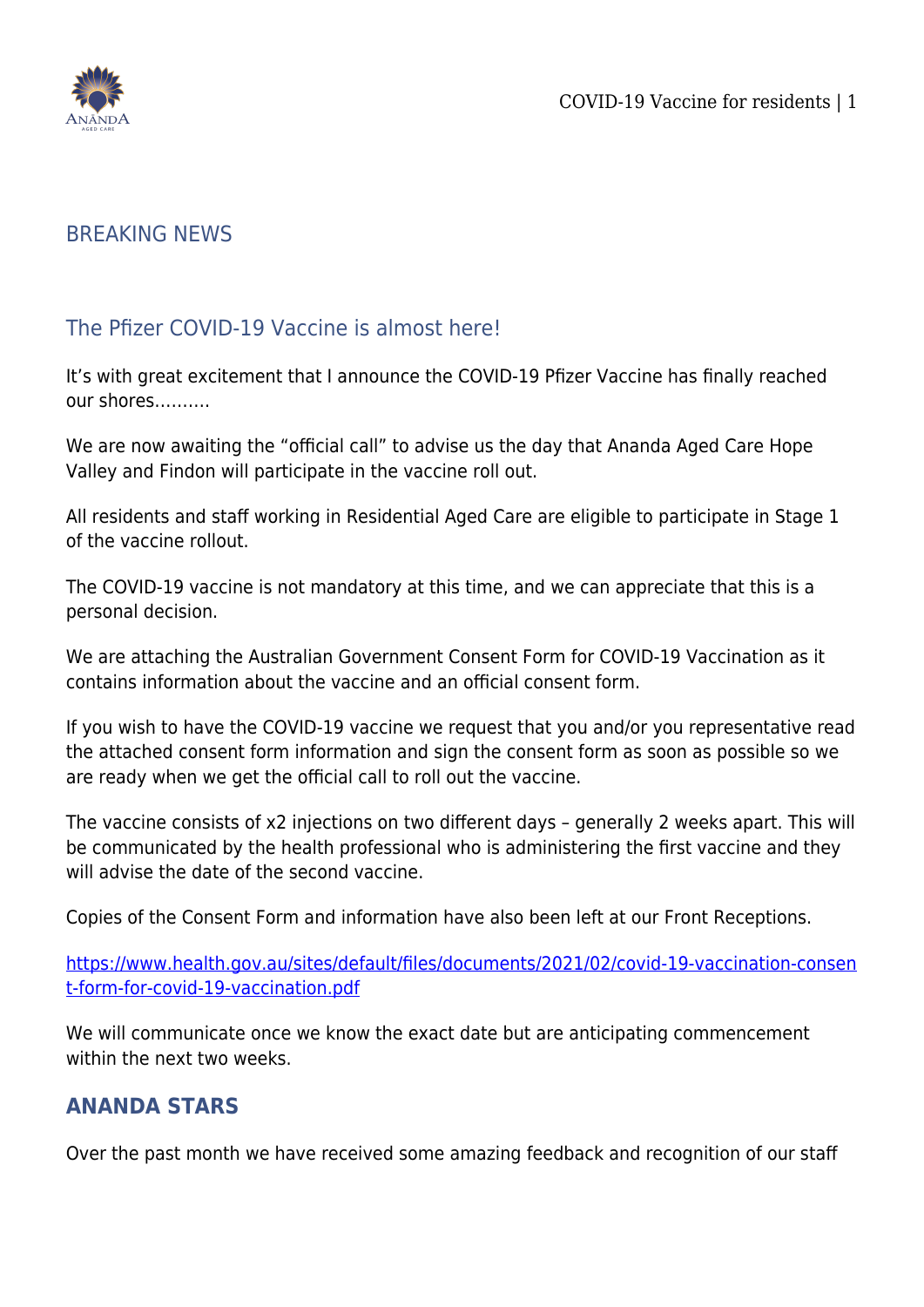

## BREAKING NEWS

## The Pfizer COVID-19 Vaccine is almost here!

It's with great excitement that I announce the COVID-19 Pfizer Vaccine has finally reached our shores……….

We are now awaiting the "official call" to advise us the day that Ananda Aged Care Hope Valley and Findon will participate in the vaccine roll out.

All residents and staff working in Residential Aged Care are eligible to participate in Stage 1 of the vaccine rollout.

The COVID-19 vaccine is not mandatory at this time, and we can appreciate that this is a personal decision.

We are attaching the Australian Government Consent Form for COVID-19 Vaccination as it contains information about the vaccine and an official consent form.

If you wish to have the COVID-19 vaccine we request that you and/or you representative read the attached consent form information and sign the consent form as soon as possible so we are ready when we get the official call to roll out the vaccine.

The vaccine consists of x2 injections on two different days – generally 2 weeks apart. This will be communicated by the health professional who is administering the first vaccine and they will advise the date of the second vaccine.

Copies of the Consent Form and information have also been left at our Front Receptions.

[https://www.health.gov.au/sites/default/files/documents/2021/02/covid-19-vaccination-consen](https://www.health.gov.au/sites/default/files/documents/2021/02/covid-19-vaccination-consent-form-for-covid-19-vaccination.pdf) [t-form-for-covid-19-vaccination.pdf](https://www.health.gov.au/sites/default/files/documents/2021/02/covid-19-vaccination-consent-form-for-covid-19-vaccination.pdf)

We will communicate once we know the exact date but are anticipating commencement within the next two weeks.

## **ANANDA STARS**

Over the past month we have received some amazing feedback and recognition of our staff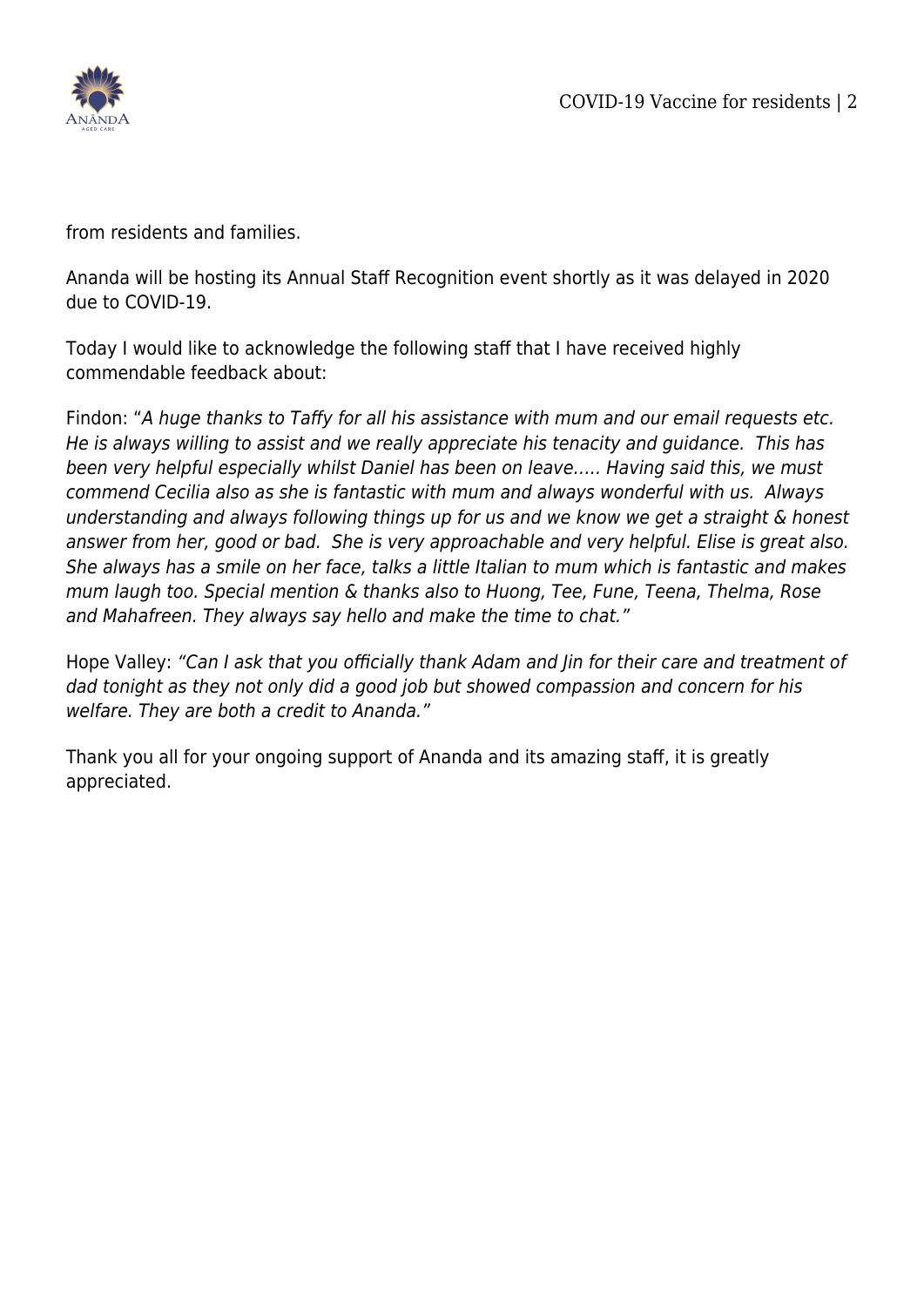

from residents and families.

Ananda will be hosting its Annual Staff Recognition event shortly as it was delayed in 2020 due to COVID-19.

Today I would like to acknowledge the following staff that I have received highly commendable feedback about:

Findon: "A huge thanks to Taffy for all his assistance with mum and our email requests etc. He is always willing to assist and we really appreciate his tenacity and guidance. This has been very helpful especially whilst Daniel has been on leave….. Having said this, we must commend Cecilia also as she is fantastic with mum and always wonderful with us. Always understanding and always following things up for us and we know we get a straight & honest answer from her, good or bad. She is very approachable and very helpful. Elise is great also. She always has a smile on her face, talks a little Italian to mum which is fantastic and makes mum laugh too. Special mention & thanks also to Huong, Tee, Fune, Teena, Thelma, Rose and Mahafreen. They always say hello and make the time to chat."

Hope Valley: "Can I ask that you officially thank Adam and Jin for their care and treatment of dad tonight as they not only did a good job but showed compassion and concern for his welfare. They are both a credit to Ananda."

Thank you all for your ongoing support of Ananda and its amazing staff, it is greatly appreciated.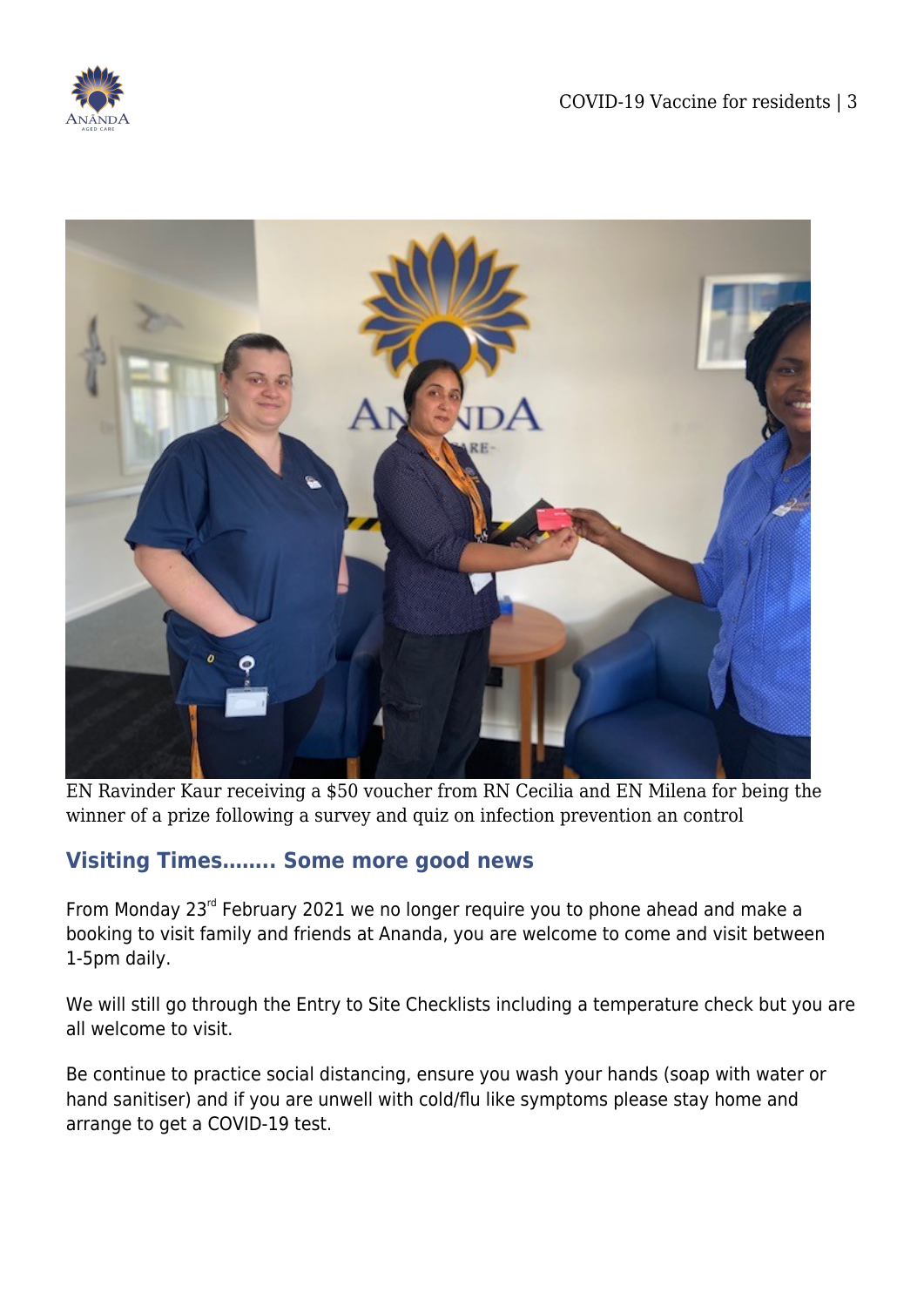



EN Ravinder Kaur receiving a \$50 voucher from RN Cecilia and EN Milena for being the winner of a prize following a survey and quiz on infection prevention an control

## **Visiting Times…….. Some more good news**

From Monday 23<sup>rd</sup> February 2021 we no longer require you to phone ahead and make a booking to visit family and friends at Ananda, you are welcome to come and visit between 1-5pm daily.

We will still go through the Entry to Site Checklists including a temperature check but you are all welcome to visit.

Be continue to practice social distancing, ensure you wash your hands (soap with water or hand sanitiser) and if you are unwell with cold/flu like symptoms please stay home and arrange to get a COVID-19 test.